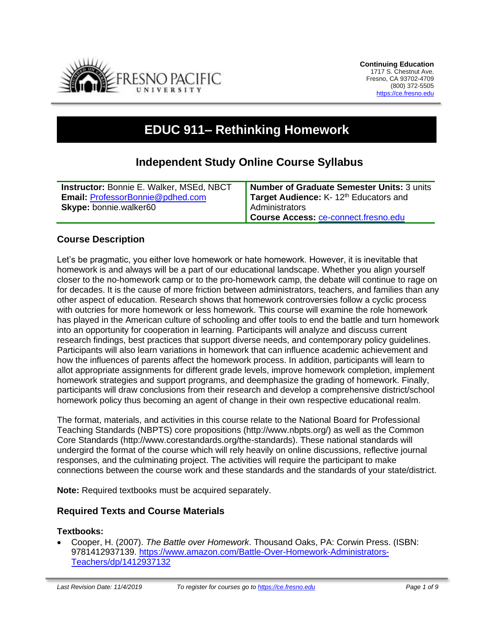

# **EDUC 911– Rethinking Homework**

# **Independent Study Online Course Syllabus**

| <b>Instructor: Bonnie E. Walker, MSEd, NBCT</b> | Number of Graduate Semester Units: 3 units        |
|-------------------------------------------------|---------------------------------------------------|
| Email: ProfessorBonnie@pdhed.com                | Target Audience: K-12 <sup>th</sup> Educators and |
| <b>Skype:</b> bonnie.walker60                   | <b>Administrators</b>                             |
|                                                 | Course Access: ce-connect.fresno.edu              |

# **Course Description**

Let's be pragmatic, you either love homework or hate homework. However, it is inevitable that homework is and always will be a part of our educational landscape. Whether you align yourself closer to the no-homework camp or to the pro-homework camp, the debate will continue to rage on for decades. It is the cause of more friction between administrators, teachers, and families than any other aspect of education. Research shows that homework controversies follow a cyclic process with outcries for more homework or less homework. This course will examine the role homework has played in the American culture of schooling and offer tools to end the battle and turn homework into an opportunity for cooperation in learning. Participants will analyze and discuss current research findings, best practices that support diverse needs, and contemporary policy guidelines. Participants will also learn variations in homework that can influence academic achievement and how the influences of parents affect the homework process. In addition, participants will learn to allot appropriate assignments for different grade levels, improve homework completion, implement homework strategies and support programs, and deemphasize the grading of homework. Finally, participants will draw conclusions from their research and develop a comprehensive district/school homework policy thus becoming an agent of change in their own respective educational realm.

The format, materials, and activities in this course relate to the National Board for Professional Teaching Standards (NBPTS) core propositions (http://www.nbpts.org/) as well as the Common Core Standards (http://www.corestandards.org/the-standards). These national standards will undergird the format of the course which will rely heavily on online discussions, reflective journal responses, and the culminating project. The activities will require the participant to make connections between the course work and these standards and the standards of your state/district.

**Note:** Required textbooks must be acquired separately.

#### **Required Texts and Course Materials**

#### **Textbooks:**

• Cooper, H. (2007). *The Battle over Homework*. Thousand Oaks, PA: Corwin Press. (ISBN: 9781412937139. [https://www.amazon.com/Battle-Over-Homework-Administrators-](https://www.amazon.com/Battle-Over-Homework-Administrators-Teachers/dp/1412937132)[Teachers/dp/1412937132](https://www.amazon.com/Battle-Over-Homework-Administrators-Teachers/dp/1412937132)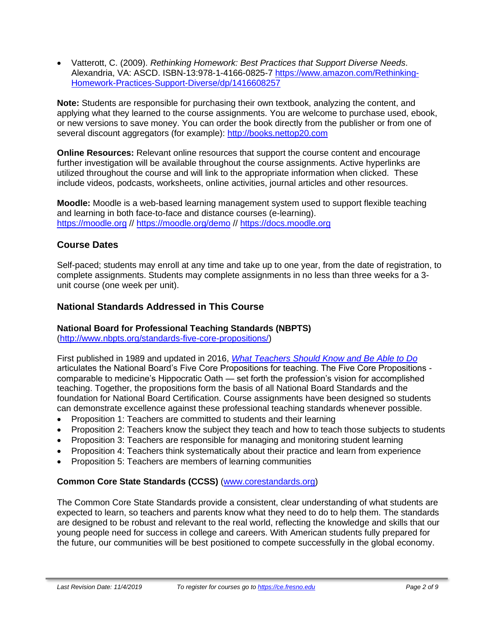• Vatterott, C. (2009). *Rethinking Homework: Best Practices that Support Diverse Needs*. Alexandria, VA: ASCD. ISBN-13:978-1-4166-0825-7 [https://www.amazon.com/Rethinking-](https://www.amazon.com/Rethinking-Homework-Practices-Support-Diverse/dp/1416608257)[Homework-Practices-Support-Diverse/dp/1416608257](https://www.amazon.com/Rethinking-Homework-Practices-Support-Diverse/dp/1416608257)

**Note:** Students are responsible for purchasing their own textbook, analyzing the content, and applying what they learned to the course assignments. You are welcome to purchase used, ebook, or new versions to save money. You can order the book directly from the publisher or from one of several discount aggregators (for example): [http://books.nettop20.com](http://books.nettop20.com/)

**Online Resources:** Relevant online resources that support the course content and encourage further investigation will be available throughout the course assignments. Active hyperlinks are utilized throughout the course and will link to the appropriate information when clicked. These include videos, podcasts, worksheets, online activities, journal articles and other resources.

**Moodle:** Moodle is a web-based learning management system used to support flexible teaching and learning in both face-to-face and distance courses (e-learning). [https://moodle.org](https://moodle.org/) // <https://moodle.org/demo> // [https://docs.moodle.org](https://docs.moodle.org/)

# **Course Dates**

Self-paced; students may enroll at any time and take up to one year, from the date of registration, to complete assignments. Students may complete assignments in no less than three weeks for a 3 unit course (one week per unit).

# **National Standards Addressed in This Course**

#### **National Board for Professional Teaching Standards (NBPTS)**

[\(http://www.nbpts.org/standards-five-core-propositions/\)](http://www.nbpts.org/standards-five-core-propositions/)

First published in 1989 and updated in 2016, *[What Teachers Should Know and Be Able to Do](http://www.accomplishedteacher.org/)* articulates the National Board's Five Core Propositions for teaching. The Five Core Propositions comparable to medicine's Hippocratic Oath — set forth the profession's vision for accomplished teaching. Together, the propositions form the basis of all National Board Standards and the foundation for National Board Certification. Course assignments have been designed so students can demonstrate excellence against these professional teaching standards whenever possible.

- Proposition 1: Teachers are committed to students and their learning
- Proposition 2: Teachers know the subject they teach and how to teach those subjects to students
- Proposition 3: Teachers are responsible for managing and monitoring student learning
- Proposition 4: Teachers think systematically about their practice and learn from experience
- Proposition 5: Teachers are members of learning communities

# **Common Core State Standards (CCSS)** [\(www.corestandards.org\)](http://www.corestandards.org/)

The Common Core State Standards provide a consistent, clear understanding of what students are expected to learn, so teachers and parents know what they need to do to help them. The standards are designed to be robust and relevant to the real world, reflecting the knowledge and skills that our young people need for success in college and careers. With American students fully prepared for the future, our communities will be best positioned to compete successfully in the global economy.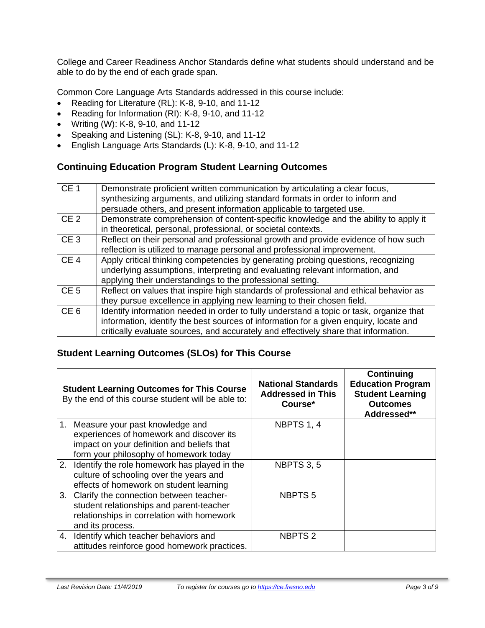College and Career Readiness Anchor Standards define what students should understand and be able to do by the end of each grade span.

Common Core Language Arts Standards addressed in this course include:

- Reading for Literature (RL): K-8, 9-10, and 11-12
- Reading for Information (RI): K-8, 9-10, and 11-12
- Writing (W): K-8, 9-10, and 11-12
- Speaking and Listening (SL): K-8, 9-10, and 11-12
- English Language Arts Standards (L): K-8, 9-10, and 11-12

# **Continuing Education Program Student Learning Outcomes**

| CE <sub>1</sub> | Demonstrate proficient written communication by articulating a clear focus,<br>synthesizing arguments, and utilizing standard formats in order to inform and<br>persuade others, and present information applicable to targeted use.                                    |
|-----------------|-------------------------------------------------------------------------------------------------------------------------------------------------------------------------------------------------------------------------------------------------------------------------|
| CE <sub>2</sub> | Demonstrate comprehension of content-specific knowledge and the ability to apply it<br>in theoretical, personal, professional, or societal contexts.                                                                                                                    |
| CE <sub>3</sub> | Reflect on their personal and professional growth and provide evidence of how such<br>reflection is utilized to manage personal and professional improvement.                                                                                                           |
| CE <sub>4</sub> | Apply critical thinking competencies by generating probing questions, recognizing<br>underlying assumptions, interpreting and evaluating relevant information, and<br>applying their understandings to the professional setting.                                        |
| CE <sub>5</sub> | Reflect on values that inspire high standards of professional and ethical behavior as<br>they pursue excellence in applying new learning to their chosen field.                                                                                                         |
| CE <sub>6</sub> | Identify information needed in order to fully understand a topic or task, organize that<br>information, identify the best sources of information for a given enquiry, locate and<br>critically evaluate sources, and accurately and effectively share that information. |

# **Student Learning Outcomes (SLOs) for This Course**

|    | <b>Student Learning Outcomes for This Course</b><br>By the end of this course student will be able to:                                                              | <b>National Standards</b><br><b>Addressed in This</b><br>Course* | <b>Continuing</b><br><b>Education Program</b><br><b>Student Learning</b><br><b>Outcomes</b><br>Addressed** |
|----|---------------------------------------------------------------------------------------------------------------------------------------------------------------------|------------------------------------------------------------------|------------------------------------------------------------------------------------------------------------|
| 1. | Measure your past knowledge and<br>experiences of homework and discover its<br>impact on your definition and beliefs that<br>form your philosophy of homework today | NBPTS 1, 4                                                       |                                                                                                            |
|    | 2. Identify the role homework has played in the<br>culture of schooling over the years and<br>effects of homework on student learning                               | <b>NBPTS 3, 5</b>                                                |                                                                                                            |
|    | 3. Clarify the connection between teacher-<br>student relationships and parent-teacher<br>relationships in correlation with homework<br>and its process.            | <b>NBPTS5</b>                                                    |                                                                                                            |
| 4. | Identify which teacher behaviors and<br>attitudes reinforce good homework practices.                                                                                | <b>NBPTS 2</b>                                                   |                                                                                                            |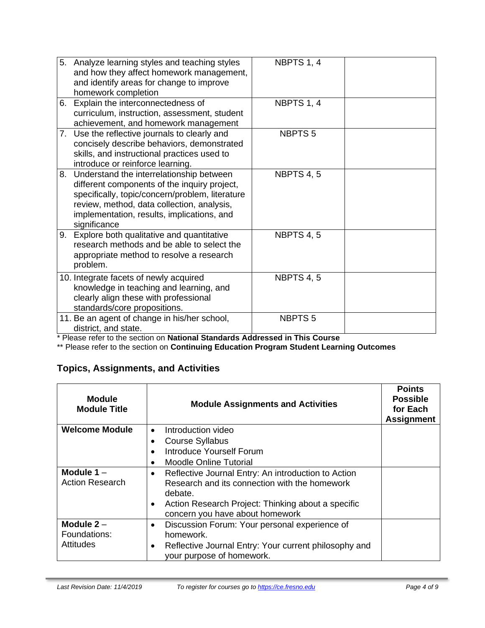|    | 5. Analyze learning styles and teaching styles<br>and how they affect homework management,<br>and identify areas for change to improve<br>homework completion                                                                                              | NBPTS 1, 4        |  |
|----|------------------------------------------------------------------------------------------------------------------------------------------------------------------------------------------------------------------------------------------------------------|-------------------|--|
|    | 6. Explain the interconnectedness of<br>curriculum, instruction, assessment, student<br>achievement, and homework management                                                                                                                               | NBPTS 1, 4        |  |
|    | 7. Use the reflective journals to clearly and<br>concisely describe behaviors, demonstrated<br>skills, and instructional practices used to<br>introduce or reinforce learning.                                                                             | <b>NBPTS5</b>     |  |
|    | 8. Understand the interrelationship between<br>different components of the inquiry project,<br>specifically, topic/concern/problem, literature<br>review, method, data collection, analysis,<br>implementation, results, implications, and<br>significance | <b>NBPTS 4, 5</b> |  |
| 9. | Explore both qualitative and quantitative<br>research methods and be able to select the<br>appropriate method to resolve a research<br>problem.                                                                                                            | NBPTS 4, 5        |  |
|    | 10. Integrate facets of newly acquired<br>knowledge in teaching and learning, and<br>clearly align these with professional<br>standards/core propositions.                                                                                                 | NBPTS 4, 5        |  |
|    | 11. Be an agent of change in his/her school,<br>district, and state.                                                                                                                                                                                       | <b>NBPTS5</b>     |  |

\* Please refer to the section on **National Standards Addressed in This Course**

\*\* Please refer to the section on **Continuing Education Program Student Learning Outcomes**

# **Topics, Assignments, and Activities**

| <b>Module</b><br><b>Module Title</b>   | <b>Module Assignments and Activities</b>                                                                             | <b>Points</b><br><b>Possible</b><br>for Each<br><b>Assignment</b> |
|----------------------------------------|----------------------------------------------------------------------------------------------------------------------|-------------------------------------------------------------------|
| <b>Welcome Module</b>                  | Introduction video<br>$\bullet$                                                                                      |                                                                   |
|                                        | <b>Course Syllabus</b>                                                                                               |                                                                   |
|                                        | Introduce Yourself Forum                                                                                             |                                                                   |
|                                        | <b>Moodle Online Tutorial</b>                                                                                        |                                                                   |
| Module $1 -$<br><b>Action Research</b> | Reflective Journal Entry: An introduction to Action<br>٠<br>Research and its connection with the homework<br>debate. |                                                                   |
|                                        | Action Research Project: Thinking about a specific<br>concern you have about homework                                |                                                                   |
| Module $2 -$<br>Foundations:           | Discussion Forum: Your personal experience of<br>$\bullet$<br>homework.                                              |                                                                   |
| <b>Attitudes</b>                       | Reflective Journal Entry: Your current philosophy and<br>your purpose of homework.                                   |                                                                   |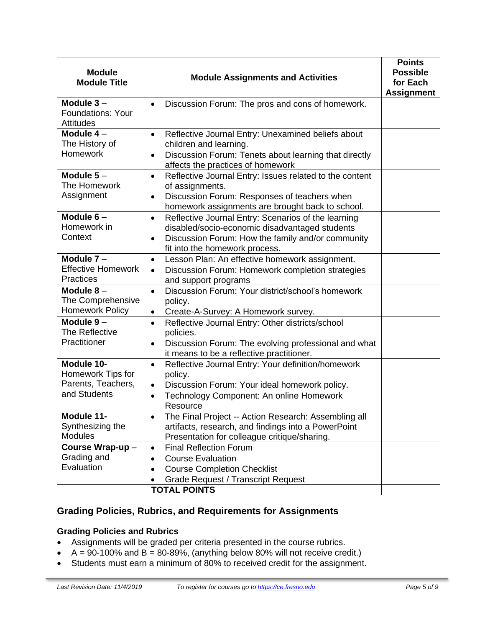| <b>Module</b><br><b>Module Title</b>                                  | <b>Module Assignments and Activities</b>                                                                                                                                                                               | <b>Points</b><br><b>Possible</b><br>for Each<br><b>Assignment</b> |
|-----------------------------------------------------------------------|------------------------------------------------------------------------------------------------------------------------------------------------------------------------------------------------------------------------|-------------------------------------------------------------------|
| Module $3-$<br><b>Foundations: Your</b><br><b>Attitudes</b>           | Discussion Forum: The pros and cons of homework.<br>$\bullet$                                                                                                                                                          |                                                                   |
| Module $4-$<br>The History of<br><b>Homework</b>                      | Reflective Journal Entry: Unexamined beliefs about<br>$\bullet$<br>children and learning.<br>Discussion Forum: Tenets about learning that directly<br>$\bullet$<br>affects the practices of homework                   |                                                                   |
| Module $5-$<br>The Homework<br>Assignment                             | Reflective Journal Entry: Issues related to the content<br>$\bullet$<br>of assignments.<br>Discussion Forum: Responses of teachers when<br>$\bullet$<br>homework assignments are brought back to school.               |                                                                   |
| Module $6-$<br>Homework in<br>Context                                 | Reflective Journal Entry: Scenarios of the learning<br>$\bullet$<br>disabled/socio-economic disadvantaged students<br>Discussion Forum: How the family and/or community<br>$\bullet$<br>fit into the homework process. |                                                                   |
| Module $7 -$<br><b>Effective Homework</b><br><b>Practices</b>         | Lesson Plan: An effective homework assignment.<br>$\bullet$<br>Discussion Forum: Homework completion strategies<br>$\bullet$<br>and support programs                                                                   |                                                                   |
| Module $8-$<br>The Comprehensive<br><b>Homework Policy</b>            | Discussion Forum: Your district/school's homework<br>$\bullet$<br>policy.<br>Create-A-Survey: A Homework survey.                                                                                                       |                                                                   |
| Module $9-$<br>The Reflective<br>Practitioner                         | Reflective Journal Entry: Other districts/school<br>$\bullet$<br>policies.<br>Discussion Forum: The evolving professional and what<br>$\bullet$<br>it means to be a reflective practitioner.                           |                                                                   |
| Module 10-<br>Homework Tips for<br>Parents, Teachers,<br>and Students | Reflective Journal Entry: Your definition/homework<br>$\bullet$<br>policy.<br>Discussion Forum: Your ideal homework policy.<br>$\bullet$<br>Technology Component: An online Homework<br>$\bullet$<br>Resource          |                                                                   |
| Module 11-<br>Synthesizing the<br><b>Modules</b>                      | The Final Project -- Action Research: Assembling all<br>artifacts, research, and findings into a PowerPoint<br>Presentation for colleague critique/sharing.                                                            |                                                                   |
| Course Wrap-up-<br>Grading and<br>Evaluation                          | <b>Final Reflection Forum</b><br>$\bullet$<br><b>Course Evaluation</b><br>$\bullet$<br><b>Course Completion Checklist</b><br>$\bullet$<br><b>Grade Request / Transcript Request</b><br><b>TOTAL POINTS</b>             |                                                                   |

# **Grading Policies, Rubrics, and Requirements for Assignments**

# **Grading Policies and Rubrics**

- Assignments will be graded per criteria presented in the course rubrics.
- $A = 90-100\%$  and B = 80-89%, (anything below 80% will not receive credit.)
- Students must earn a minimum of 80% to received credit for the assignment.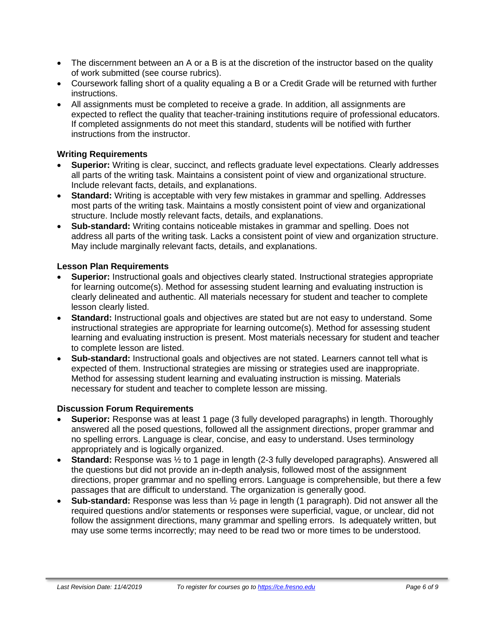- The discernment between an A or a B is at the discretion of the instructor based on the quality of work submitted (see course rubrics).
- Coursework falling short of a quality equaling a B or a Credit Grade will be returned with further instructions.
- All assignments must be completed to receive a grade. In addition, all assignments are expected to reflect the quality that teacher-training institutions require of professional educators. If completed assignments do not meet this standard, students will be notified with further instructions from the instructor.

#### **Writing Requirements**

- **Superior:** Writing is clear, succinct, and reflects graduate level expectations. Clearly addresses all parts of the writing task. Maintains a consistent point of view and organizational structure. Include relevant facts, details, and explanations.
- **Standard:** Writing is acceptable with very few mistakes in grammar and spelling. Addresses most parts of the writing task. Maintains a mostly consistent point of view and organizational structure. Include mostly relevant facts, details, and explanations.
- **Sub-standard:** Writing contains noticeable mistakes in grammar and spelling. Does not address all parts of the writing task. Lacks a consistent point of view and organization structure. May include marginally relevant facts, details, and explanations.

#### **Lesson Plan Requirements**

- **Superior:** Instructional goals and objectives clearly stated. Instructional strategies appropriate for learning outcome(s). Method for assessing student learning and evaluating instruction is clearly delineated and authentic. All materials necessary for student and teacher to complete lesson clearly listed.
- **Standard:** Instructional goals and objectives are stated but are not easy to understand. Some instructional strategies are appropriate for learning outcome(s). Method for assessing student learning and evaluating instruction is present. Most materials necessary for student and teacher to complete lesson are listed.
- **Sub-standard:** Instructional goals and objectives are not stated. Learners cannot tell what is expected of them. Instructional strategies are missing or strategies used are inappropriate. Method for assessing student learning and evaluating instruction is missing. Materials necessary for student and teacher to complete lesson are missing.

#### **Discussion Forum Requirements**

- **Superior:** Response was at least 1 page (3 fully developed paragraphs) in length. Thoroughly answered all the posed questions, followed all the assignment directions, proper grammar and no spelling errors. Language is clear, concise, and easy to understand. Uses terminology appropriately and is logically organized.
- **Standard:** Response was ½ to 1 page in length (2-3 fully developed paragraphs). Answered all the questions but did not provide an in-depth analysis, followed most of the assignment directions, proper grammar and no spelling errors. Language is comprehensible, but there a few passages that are difficult to understand. The organization is generally good.
- **Sub-standard:** Response was less than ½ page in length (1 paragraph). Did not answer all the required questions and/or statements or responses were superficial, vague, or unclear, did not follow the assignment directions, many grammar and spelling errors. Is adequately written, but may use some terms incorrectly; may need to be read two or more times to be understood.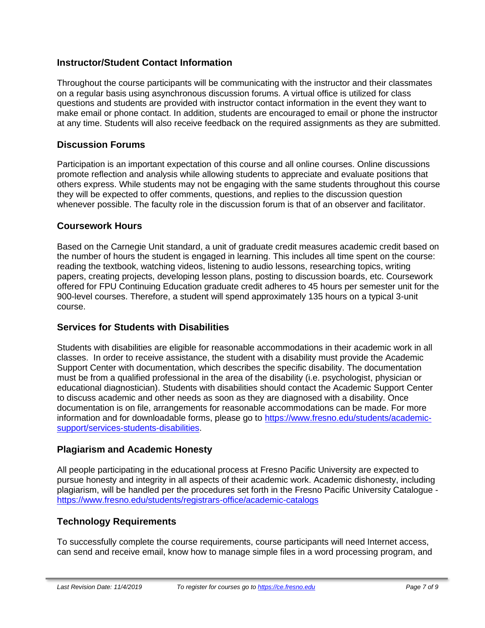# **Instructor/Student Contact Information**

Throughout the course participants will be communicating with the instructor and their classmates on a regular basis using asynchronous discussion forums. A virtual office is utilized for class questions and students are provided with instructor contact information in the event they want to make email or phone contact. In addition, students are encouraged to email or phone the instructor at any time. Students will also receive feedback on the required assignments as they are submitted.

## **Discussion Forums**

Participation is an important expectation of this course and all online courses. Online discussions promote reflection and analysis while allowing students to appreciate and evaluate positions that others express. While students may not be engaging with the same students throughout this course they will be expected to offer comments, questions, and replies to the discussion question whenever possible. The faculty role in the discussion forum is that of an observer and facilitator.

### **Coursework Hours**

Based on the Carnegie Unit standard, a unit of graduate credit measures academic credit based on the number of hours the student is engaged in learning. This includes all time spent on the course: reading the textbook, watching videos, listening to audio lessons, researching topics, writing papers, creating projects, developing lesson plans, posting to discussion boards, etc. Coursework offered for FPU Continuing Education graduate credit adheres to 45 hours per semester unit for the 900-level courses. Therefore, a student will spend approximately 135 hours on a typical 3-unit course.

# **Services for Students with Disabilities**

Students with disabilities are eligible for reasonable accommodations in their academic work in all classes. In order to receive assistance, the student with a disability must provide the Academic Support Center with documentation, which describes the specific disability. The documentation must be from a qualified professional in the area of the disability (i.e. psychologist, physician or educational diagnostician). Students with disabilities should contact the Academic Support Center to discuss academic and other needs as soon as they are diagnosed with a disability. Once documentation is on file, arrangements for reasonable accommodations can be made. For more information and for downloadable forms, please go to [https://www.fresno.edu/students/academic](https://www.fresno.edu/students/academic-support/services-students-disabilities)[support/services-students-disabilities.](https://www.fresno.edu/students/academic-support/services-students-disabilities)

# **Plagiarism and Academic Honesty**

All people participating in the educational process at Fresno Pacific University are expected to pursue honesty and integrity in all aspects of their academic work. Academic dishonesty, including plagiarism, will be handled per the procedures set forth in the Fresno Pacific University Catalogue <https://www.fresno.edu/students/registrars-office/academic-catalogs>

# **Technology Requirements**

To successfully complete the course requirements, course participants will need Internet access, can send and receive email, know how to manage simple files in a word processing program, and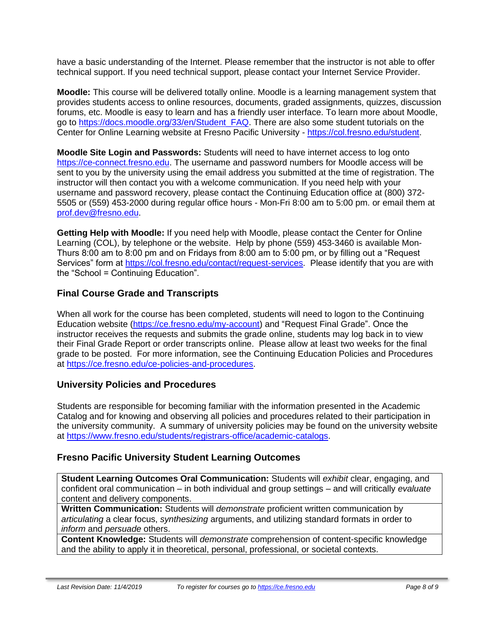have a basic understanding of the Internet. Please remember that the instructor is not able to offer technical support. If you need technical support, please contact your Internet Service Provider.

**Moodle:** This course will be delivered totally online. Moodle is a learning management system that provides students access to online resources, documents, graded assignments, quizzes, discussion forums, etc. Moodle is easy to learn and has a friendly user interface. To learn more about Moodle, go to [https://docs.moodle.org/33/en/Student\\_FAQ.](https://docs.moodle.org/33/en/Student_FAQ) There are also some student tutorials on the Center for Online Learning website at Fresno Pacific University - [https://col.fresno.edu/student.](https://col.fresno.edu/student)

**Moodle Site Login and Passwords:** Students will need to have internet access to log onto [https://ce-connect.fresno.edu.](https://ce-connect.fresno.edu/) The username and password numbers for Moodle access will be sent to you by the university using the email address you submitted at the time of registration. The instructor will then contact you with a welcome communication. If you need help with your username and password recovery, please contact the Continuing Education office at (800) 372- 5505 or (559) 453-2000 during regular office hours - Mon-Fri 8:00 am to 5:00 pm. or email them at [prof.dev@fresno.edu.](mailto:prof.dev@fresno.edu)

**Getting Help with Moodle:** If you need help with Moodle, please contact the Center for Online Learning (COL), by telephone or the website. Help by phone (559) 453-3460 is available Mon-Thurs 8:00 am to 8:00 pm and on Fridays from 8:00 am to 5:00 pm, or by filling out a "Request Services" form at [https://col.fresno.edu/contact/request-services.](https://col.fresno.edu/contact/request-services) Please identify that you are with the "School = Continuing Education".

# **Final Course Grade and Transcripts**

When all work for the course has been completed, students will need to logon to the Continuing Education website [\(https://ce.fresno.edu/my-account\)](https://ce.fresno.edu/my-account) and "Request Final Grade". Once the instructor receives the requests and submits the grade online, students may log back in to view their Final Grade Report or order transcripts online. Please allow at least two weeks for the final grade to be posted. For more information, see the Continuing Education Policies and Procedures at [https://ce.fresno.edu/ce-policies-and-procedures.](https://ce.fresno.edu/ce-policies-and-procedures)

# **University Policies and Procedures**

Students are responsible for becoming familiar with the information presented in the Academic Catalog and for knowing and observing all policies and procedures related to their participation in the university community. A summary of university policies may be found on the university website at [https://www.fresno.edu/students/registrars-office/academic-catalogs.](https://www.fresno.edu/students/registrars-office/academic-catalogs)

# **Fresno Pacific University Student Learning Outcomes**

**Student Learning Outcomes Oral Communication:** Students will *exhibit* clear, engaging, and confident oral communication – in both individual and group settings – and will critically *evaluate*  content and delivery components.

**Written Communication:** Students will *demonstrate* proficient written communication by *articulating* a clear focus, *synthesizing* arguments, and utilizing standard formats in order to *inform* and *persuade* others.

**Content Knowledge:** Students will *demonstrate* comprehension of content-specific knowledge and the ability to apply it in theoretical, personal, professional, or societal contexts.